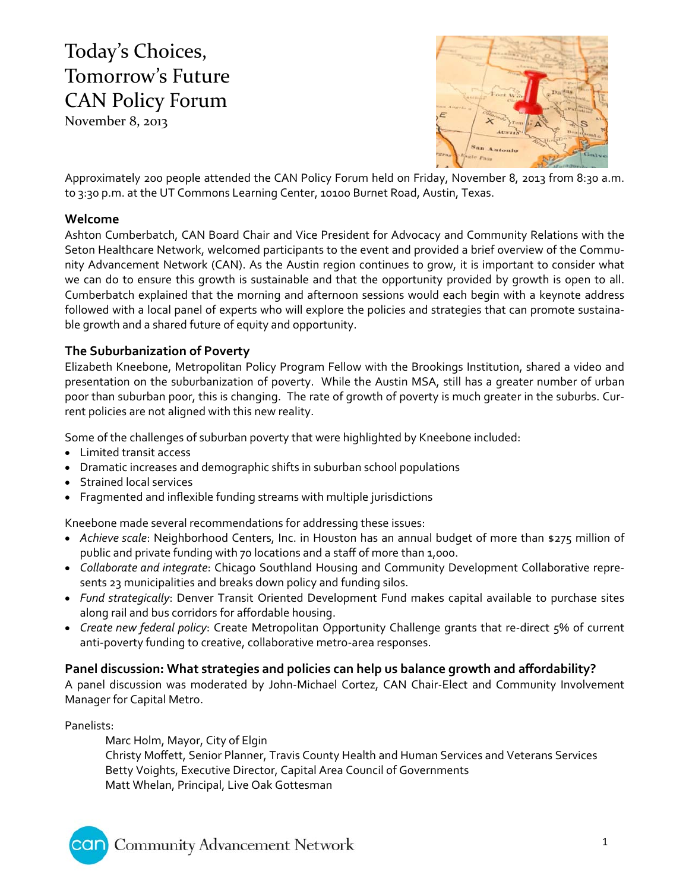# Today's Choices, Tomorrow's Future CAN Policy Forum

November 8, 2013



Approximately 200 people attended the CAN Policy Forum held on Friday, November 8, 2013 from 8:30 a.m. to 3:30 p.m. at the UT Commons Learning Center, 10100 Burnet Road, Austin, Texas.

# **Welcome**

Ashton Cumberbatch, CAN Board Chair and Vice President for Advocacy and Community Relations with the Seton Healthcare Network, welcomed participants to the event and provided a brief overview of the Commu‐ nity Advancement Network (CAN). As the Austin region continues to grow, it is important to consider what we can do to ensure this growth is sustainable and that the opportunity provided by growth is open to all. Cumberbatch explained that the morning and afternoon sessions would each begin with a keynote address followed with a local panel of experts who will explore the policies and strategies that can promote sustaina‐ ble growth and a shared future of equity and opportunity.

# **The Suburbanization of Poverty**

Elizabeth Kneebone, Metropolitan Policy Program Fellow with the Brookings Institution, shared a video and presentation on the suburbanization of poverty. While the Austin MSA, still has a greater number of urban poor than suburban poor, this is changing. The rate of growth of poverty is much greater in the suburbs. Current policies are not aligned with this new reality.

Some of the challenges of suburban poverty that were highlighted by Kneebone included:

- Limited transit access
- Dramatic increases and demographic shifts in suburban school populations
- Strained local services
- Fragmented and inflexible funding streams with multiple jurisdictions

Kneebone made several recommendations for addressing these issues:

- *Achieve scale*: Neighborhood Centers, Inc. in Houston has an annual budget of more than \$275 million of public and private funding with 70 locations and a staff of more than 1,000.
- *Collaborate and integrate*: Chicago Southland Housing and Community Development Collaborative repre‐ sents 23 municipalities and breaks down policy and funding silos.
- *Fund strategically*: Denver Transit Oriented Development Fund makes capital available to purchase sites along rail and bus corridors for affordable housing.
- *Create new federal policy*: Create Metropolitan Opportunity Challenge grants that re‐direct 5% of current anti-poverty funding to creative, collaborative metro-area responses.

# **Panel discussion: What strategies and policies can help us balance growth and affordability?**

A panel discussion was moderated by John‐Michael Cortez, CAN Chair‐Elect and Community Involvement Manager for Capital Metro.

### Panelists:

car

Marc Holm, Mayor, City of Elgin Christy Moffett, Senior Planner, Travis County Health and Human Services and Veterans Services Betty Voights, Executive Director, Capital Area Council of Governments Matt Whelan, Principal, Live Oak Gottesman

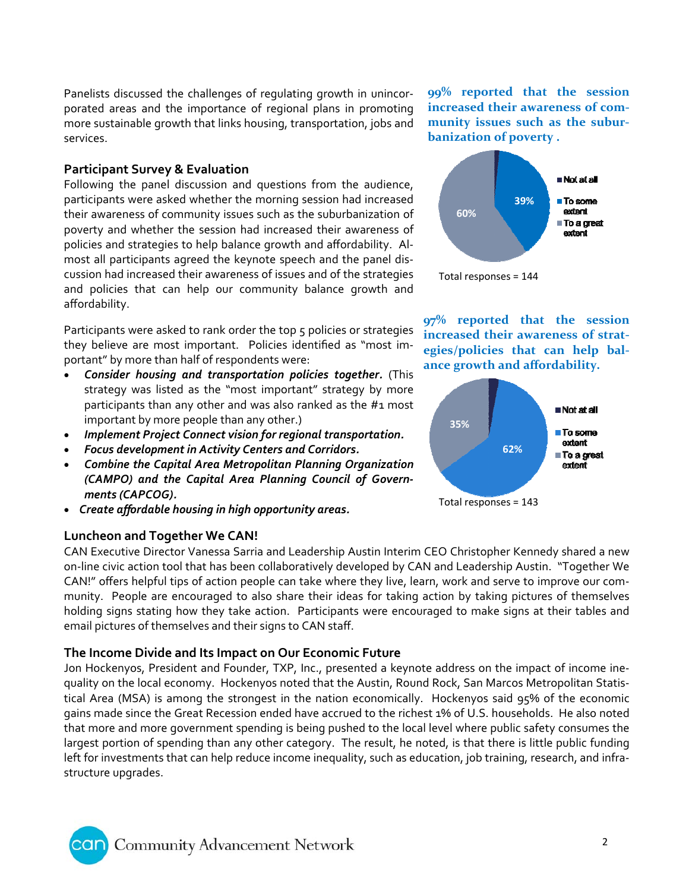Panelists discussed the challenges of regulating growth in unincor‐ porated areas and the importance of regional plans in promoting more sustainable growth that links housing, transportation, jobs and services.

## **Participant Survey & Evaluation**

Following the panel discussion and questions from the audience, participants were asked whether the morning session had increased their awareness of community issues such as the suburbanization of poverty and whether the session had increased their awareness of policies and strategies to help balance growth and affordability. Al‐ most all participants agreed the keynote speech and the panel dis‐ cussion had increased their awareness of issues and of the strategies and policies that can help our community balance growth and affordability.

Participants were asked to rank order the top 5 policies or strategies they believe are most important. Policies identified as "most im‐ portant" by more than half of respondents were:

- *Consider housing and transportation policies together.* (This strategy was listed as the "most important" strategy by more participants than any other and was also ranked as the #1 most important by more people than any other.)
- *Implement Project Connect vision for regional transportation.*
- *Focus development in Activity Centers and Corridors.*
- *Combine the Capital Area Metropolitan Planning Organization (CAMPO) and the Capital Area Planning Council of Govern‐ ments (CAPCOG).*
- *Create affordable housing in high opportunity areas.*

# **Luncheon and Together We CAN!**

CAN Executive Director Vanessa Sarria and Leadership Austin Interim CEO Christopher Kennedy shared a new on‐line civic action tool that has been collaboratively developed by CAN and Leadership Austin. "Together We CAN!" offers helpful tips of action people can take where they live, learn, work and serve to improve our com‐ munity. People are encouraged to also share their ideas for taking action by taking pictures of themselves holding signs stating how they take action. Participants were encouraged to make signs at their tables and email pictures of themselves and their signs to CAN staff.

# **The Income Divide and Its Impact on Our Economic Future**

Jon Hockenyos, President and Founder, TXP, Inc., presented a keynote address on the impact of income inequality on the local economy. Hockenyos noted that the Austin, Round Rock, San Marcos Metropolitan Statis‐ tical Area (MSA) is among the strongest in the nation economically. Hockenyos said 95% of the economic gains made since the Great Recession ended have accrued to the richest 1% of U.S. households. He also noted that more and more government spending is being pushed to the local level where public safety consumes the largest portion of spending than any other category. The result, he noted, is that there is little public funding left for investments that can help reduce income inequality, such as education, job training, research, and infrastructure upgrades.

**99% reported that the session increased their awareness of com‐ munity issues such as the subur‐ banization of poverty .**



**97% reported that the session increased their awareness of strat‐ egies/policies that can help bal‐ ance growth and affordability.**